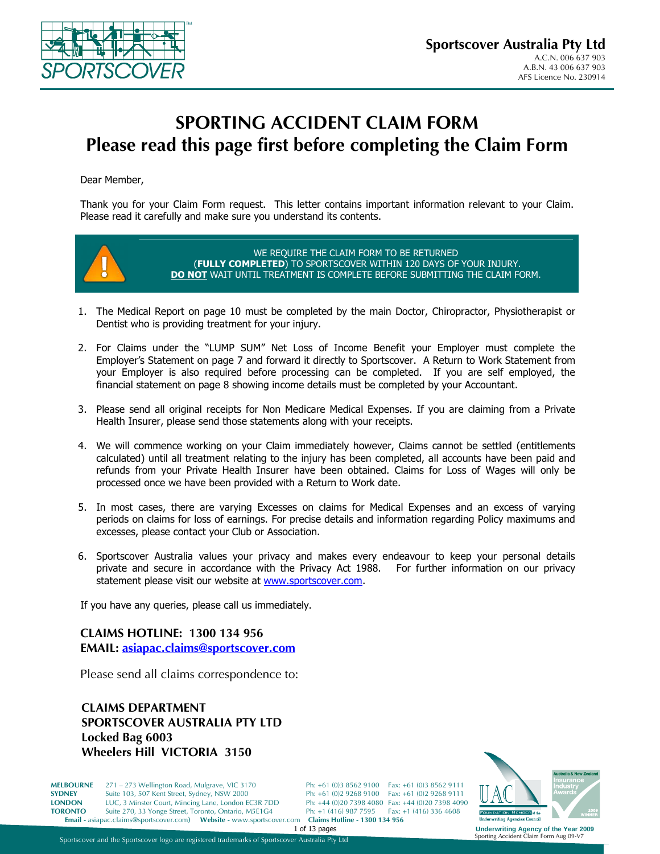

# **SPORTING ACCIDENT CLAIM FORM Please read this page first before completing the Claim Form**

Dear Member,

Thank you for your Claim Form request. This letter contains important information relevant to your Claim. Please read it carefully and make sure you understand its contents.



- 1. The Medical Report on page 10 must be completed by the main Doctor, Chiropractor, Physiotherapist or Dentist who is providing treatment for your injury.
- 2. For Claims under the "LUMP SUM" Net Loss of Income Benefit your Employer must complete the Employer's Statement on page 7 and forward it directly to Sportscover. A Return to Work Statement from your Employer is also required before processing can be completed. If you are self employed, the financial statement on page 8 showing income details must be completed by your Accountant.
- 3. Please send all original receipts for Non Medicare Medical Expenses. If you are claiming from a Private Health Insurer, please send those statements along with your receipts.
- 4. We will commence working on your Claim immediately however, Claims cannot be settled (entitlements calculated) until all treatment relating to the injury has been completed, all accounts have been paid and refunds from your Private Health Insurer have been obtained. Claims for Loss of Wages will only be processed once we have been provided with a Return to Work date.
- 5. In most cases, there are varying Excesses on claims for Medical Expenses and an excess of varying periods on claims for loss of earnings. For precise details and information regarding Policy maximums and excesses, please contact your Club or Association.
- 6. Sportscover Australia values your privacy and makes every endeavour to keep your personal details private and secure in accordance with the Privacy Act 1988. For further information on our privacy statement please visit our website at www.sportscover.com.

If you have any queries, please call us immediately.

**CLAIMS HOTLINE: 1300 134 956 EMAIL: asiapac.claims@sportscover.com**

Please send all claims correspondence to:

**CLAIMS DEPARTMENT SPORTSCOVER AUSTRALIA PTY LTD Locked Bag 6003 Wheelers Hill VICTORIA 3150** 

**MELBOURNE** 271 – 273 Wellington Road, Mulgrave, VIC 3170 Ph: +61 (0)3 8562 9100 Fax: +61 (0)3 8562 9111<br>**SYDNEY** Suite 103, 507 Kent Street, Sydney, NSW 2000 Ph: +61 (0)2 9268 9100 Fax: +61 (0)2 9268 9111 **SYDNEY** Suite 103, 507 Kent Street, Sydney, NSW 2000 Ph: +61 (0)2 9268 9100 Fax: +61 (0)2 9268 9111<br> **LONDON** LUC, 3 Minster Court, Mincing Lane, London EC3R 7DD Ph: +44 (0)20 7398 4080 Fax: +44 (0)20 7398 4090 **LONDON** LUC, 3 Minster Court, Mincing Lane, London EC3R 7DD Ph: +44 (0)20 7398 4080 Fax: +44 (0)20 7398 409<br> **TORONTO** Suite 270, 33 Yonge Street, Toronto, Ontario, M5E1G4 Ph: +1 (416) 987 7595 Fax: +1 (416) 336 4608 Suite 270, 33 Yonge Street, Toronto, Ontario, M5E1G4 **Email -** asiapac.claims@sportscover.com**) Website -** www.sportscover.com **Claims Hotline - 1300 134 956** 



**Underwriting Agency of the Year 2009**<br>Sporting Accident Claim Form Aug 09-V7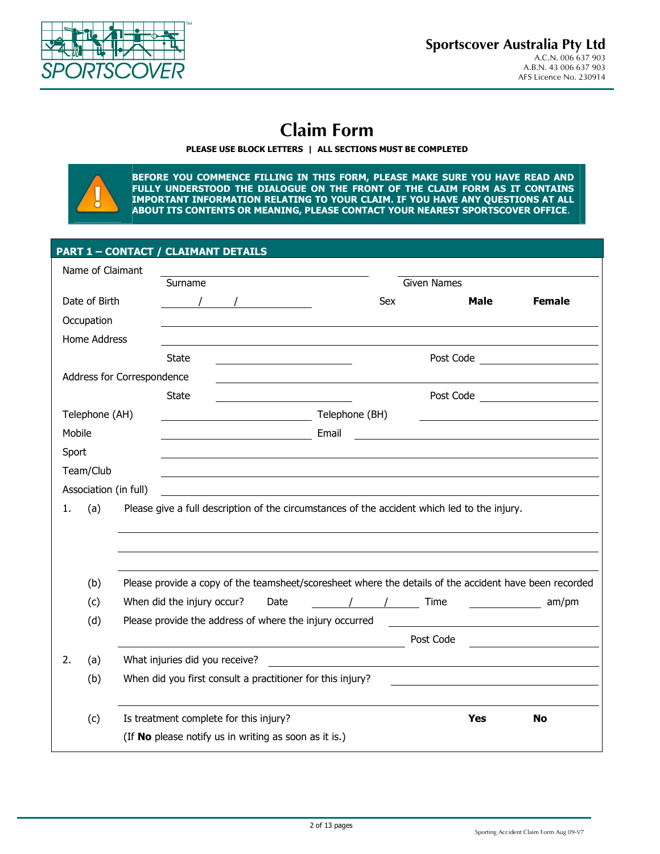

# **Claim Form**

### **PLEASE USE BLOCK LETTERS | ALL SECTIONS MUST BE COMPLETED**

**BEFORE YOU COMMENCE FILLING IN THIS FORM, PLEASE MAKE SURE YOU HAVE READ AND FULLY UNDERSTOOD THE DIALOGUE ON THE FRONT OF THE CLAIM FORM AS IT CONTAINS IMPORTANT INFORMATION RELATING TO YOUR CLAIM. IF YOU HAVE ANY QUESTIONS AT ALL ABOUT ITS CONTENTS OR MEANING, PLEASE CONTACT YOUR NEAREST SPORTSCOVER OFFICE**.

### **PART 1 – CONTACT / CLAIMANT DETAILS**

|        | Name of Claimant |                            |                                                                                              |      |                |          |                    |             |                                                                                                        |
|--------|------------------|----------------------------|----------------------------------------------------------------------------------------------|------|----------------|----------|--------------------|-------------|--------------------------------------------------------------------------------------------------------|
|        |                  |                            | Surname                                                                                      |      |                |          | <b>Given Names</b> |             |                                                                                                        |
|        | Date of Birth    |                            |                                                                                              |      |                | Sex      |                    | <b>Male</b> | <b>Female</b>                                                                                          |
|        | Occupation       |                            |                                                                                              |      |                |          |                    |             |                                                                                                        |
|        | Home Address     |                            |                                                                                              |      |                |          |                    |             |                                                                                                        |
|        |                  |                            | <b>State</b>                                                                                 |      |                |          |                    |             | Post Code                                                                                              |
|        |                  | Address for Correspondence |                                                                                              |      |                |          |                    |             |                                                                                                        |
|        |                  |                            | <b>State</b>                                                                                 |      |                |          |                    |             | Post Code ________________________                                                                     |
|        | Telephone (AH)   |                            | <u> 1980 - Johann Barnett, fransk politik (</u>                                              |      | Telephone (BH) |          |                    |             |                                                                                                        |
| Mobile |                  |                            |                                                                                              |      | Email          |          |                    |             | <u> 1980 - Jan Stein Stein, fransk politik (f. 1980)</u>                                               |
| Sport  |                  |                            |                                                                                              |      |                |          |                    |             |                                                                                                        |
|        | Team/Club        |                            |                                                                                              |      |                |          |                    |             |                                                                                                        |
|        |                  | Association (in full)      |                                                                                              |      |                |          |                    |             |                                                                                                        |
| 1.     | (a)              |                            | Please give a full description of the circumstances of the accident which led to the injury. |      |                |          |                    |             |                                                                                                        |
|        |                  |                            |                                                                                              |      |                |          |                    |             |                                                                                                        |
|        |                  |                            |                                                                                              |      |                |          |                    |             |                                                                                                        |
|        |                  |                            |                                                                                              |      |                |          |                    |             |                                                                                                        |
|        |                  |                            |                                                                                              |      |                |          |                    |             |                                                                                                        |
|        | (b)              |                            |                                                                                              |      |                |          |                    |             | Please provide a copy of the teamsheet/scoresheet where the details of the accident have been recorded |
|        | (c)              |                            | When did the injury occur?                                                                   | Date |                | / / Time |                    |             | am/pm                                                                                                  |
|        | (d)              |                            | Please provide the address of where the injury occurred                                      |      |                |          |                    |             |                                                                                                        |
|        |                  |                            |                                                                                              |      |                |          | Post Code          |             |                                                                                                        |
| 2.     | (a)              |                            | What injuries did you receive?                                                               |      |                |          |                    |             |                                                                                                        |
|        | (b)              |                            | When did you first consult a practitioner for this injury?                                   |      |                |          |                    |             |                                                                                                        |
|        |                  |                            |                                                                                              |      |                |          |                    |             |                                                                                                        |
|        | (c)              |                            | Is treatment complete for this injury?                                                       |      |                |          |                    | <b>Yes</b>  | <b>No</b>                                                                                              |
|        |                  |                            | (If No please notify us in writing as soon as it is.)                                        |      |                |          |                    |             |                                                                                                        |
|        |                  |                            |                                                                                              |      |                |          |                    |             |                                                                                                        |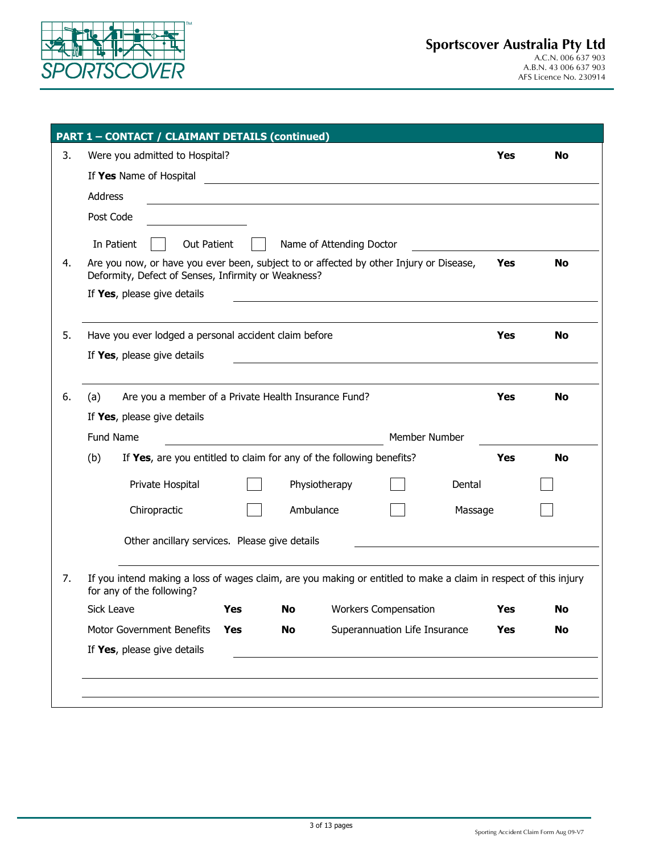

|    | <b>PART 1 - CONTACT / CLAIMANT DETAILS (continued)</b>                                                                                        |     |           |                          |                                                                                                                        |         |            |           |
|----|-----------------------------------------------------------------------------------------------------------------------------------------------|-----|-----------|--------------------------|------------------------------------------------------------------------------------------------------------------------|---------|------------|-----------|
| 3. | Were you admitted to Hospital?                                                                                                                |     |           |                          |                                                                                                                        |         | <b>Yes</b> | <b>No</b> |
|    | If Yes Name of Hospital                                                                                                                       |     |           |                          | <u> 1989 - Johann Stoff, deutscher Stoffen und der Stoffen und der Stoffen und der Stoffen und der Stoffen und der</u> |         |            |           |
|    | <b>Address</b>                                                                                                                                |     |           |                          |                                                                                                                        |         |            |           |
|    | Post Code                                                                                                                                     |     |           |                          |                                                                                                                        |         |            |           |
|    | Out Patient                                                                                                                                   |     |           |                          |                                                                                                                        |         |            |           |
| 4. | In Patient<br>Are you now, or have you ever been, subject to or affected by other Injury or Disease,                                          |     |           | Name of Attending Doctor |                                                                                                                        |         | Yes        | <b>No</b> |
|    | Deformity, Defect of Senses, Infirmity or Weakness?                                                                                           |     |           |                          |                                                                                                                        |         |            |           |
|    | If Yes, please give details                                                                                                                   |     |           |                          | <u> 1989 - Johann Barbara, martxa alemaniar arg</u>                                                                    |         |            |           |
|    |                                                                                                                                               |     |           |                          |                                                                                                                        |         |            |           |
| 5. | Have you ever lodged a personal accident claim before                                                                                         |     |           |                          |                                                                                                                        |         | Yes        | <b>No</b> |
|    | If Yes, please give details                                                                                                                   |     |           |                          |                                                                                                                        |         |            |           |
|    |                                                                                                                                               |     |           |                          |                                                                                                                        |         |            |           |
| 6. | (a)<br>Are you a member of a Private Health Insurance Fund?                                                                                   |     |           |                          |                                                                                                                        |         | Yes        | <b>No</b> |
|    | If Yes, please give details                                                                                                                   |     |           |                          |                                                                                                                        |         |            |           |
|    | Fund Name                                                                                                                                     |     |           |                          | Member Number                                                                                                          |         |            |           |
|    | (b)<br>If Yes, are you entitled to claim for any of the following benefits?                                                                   |     |           |                          |                                                                                                                        |         | Yes        | <b>No</b> |
|    | Private Hospital                                                                                                                              |     |           | Physiotherapy            |                                                                                                                        | Dental  |            |           |
|    | Chiropractic                                                                                                                                  |     | Ambulance |                          |                                                                                                                        | Massage |            |           |
|    | Other ancillary services. Please give details                                                                                                 |     |           |                          |                                                                                                                        |         |            |           |
| 7. | If you intend making a loss of wages claim, are you making or entitled to make a claim in respect of this injury<br>for any of the following? |     |           |                          |                                                                                                                        |         |            |           |
|    | Sick Leave <b>Test</b>                                                                                                                        |     |           |                          | <b>No</b> Workers Compensation                                                                                         |         | <b>Yes</b> | No        |
|    | Motor Government Benefits                                                                                                                     | Yes | No        |                          | Superannuation Life Insurance                                                                                          |         | Yes        | No        |
|    | If Yes, please give details                                                                                                                   |     |           |                          |                                                                                                                        |         |            |           |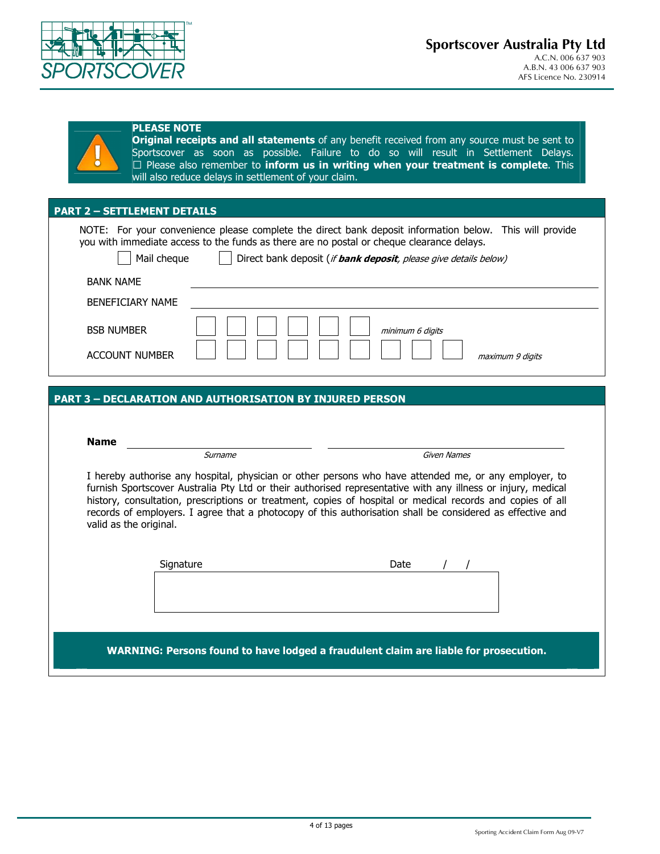

### **PLEASE NOTE**

**Original receipts and all statements** of any benefit received from any source must be sent to Sportscover as soon as possible. Failure to do so will result in Settlement Delays. E Please also remember to **inform us in writing when your treatment is complete**. This will also reduce delays in settlement of your claim.

### **PART 2 – SETTLEMENT DETAILS**

 NOTE: For your convenience please complete the direct bank deposit information below. This will provide you with immediate access to the funds as there are no postal or cheque clearance delays. Mail cheque **Direct bank deposit** (*if bank deposit, please give details below*) BANK NAME BENEFICIARY NAME BSB NUMBER **minimum 6 digits** ACCOUNT NUMBER maximum 9 digits

#### **PART 3 – DECLARATION AND AUTHORISATION BY INJURED PERSON**

|                        | Surname   | Given Names                                                                                                                                                                                                                                                                                                                                                                                                                                      |
|------------------------|-----------|--------------------------------------------------------------------------------------------------------------------------------------------------------------------------------------------------------------------------------------------------------------------------------------------------------------------------------------------------------------------------------------------------------------------------------------------------|
| valid as the original. |           | I hereby authorise any hospital, physician or other persons who have attended me, or any employer, to<br>furnish Sportscover Australia Pty Ltd or their authorised representative with any illness or injury, medical<br>history, consultation, prescriptions or treatment, copies of hospital or medical records and copies of all<br>records of employers. I agree that a photocopy of this authorisation shall be considered as effective and |
|                        | Signature | Date                                                                                                                                                                                                                                                                                                                                                                                                                                             |
|                        |           | WARNING: Persons found to have lodged a fraudulent claim are liable for prosecution.                                                                                                                                                                                                                                                                                                                                                             |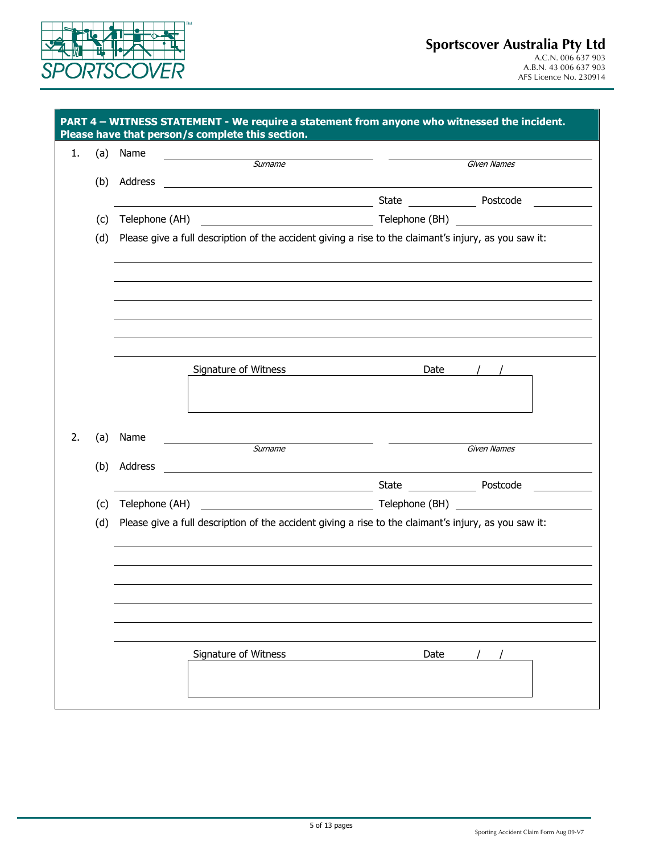

| 1.        | (a) Name       |                                                                                                       |      |                                                  |
|-----------|----------------|-------------------------------------------------------------------------------------------------------|------|--------------------------------------------------|
|           |                | Surname                                                                                               |      | Given Names                                      |
| (b)       | Address        | <u> 1980 - Jan Samuel Barbara, martin d</u>                                                           |      |                                                  |
|           |                | <u> 1989 - Johann Stone, fransk politiker (d. 1989)</u>                                               |      | State Postcode                                   |
| (c)       | Telephone (AH) |                                                                                                       |      | Telephone (BH) <u>__________________________</u> |
| (d)       |                | Please give a full description of the accident giving a rise to the claimant's injury, as you saw it: |      |                                                  |
|           |                |                                                                                                       |      |                                                  |
|           |                |                                                                                                       |      |                                                  |
|           |                |                                                                                                       |      |                                                  |
|           |                |                                                                                                       |      |                                                  |
|           |                |                                                                                                       |      |                                                  |
|           |                |                                                                                                       |      |                                                  |
|           |                | Signature of Witness                                                                                  | Date |                                                  |
|           |                |                                                                                                       |      |                                                  |
|           |                |                                                                                                       |      |                                                  |
| 2.<br>(a) | Name           |                                                                                                       |      |                                                  |
|           |                | Surname                                                                                               |      | <b>Given Names</b>                               |
| (b)       | Address        | <u> 1989 - Jan Barat, prima politik (</u>                                                             |      |                                                  |
|           |                | <u> 1980 - Johann Barn, amerikan personal (</u>                                                       |      | State Postcode                                   |
| (c)       | Telephone (AH) | <b>Telephone (BH)</b> Telephone (BH)                                                                  |      |                                                  |
| (d)       |                | Please give a full description of the accident giving a rise to the claimant's injury, as you saw it: |      |                                                  |
|           |                |                                                                                                       |      |                                                  |
|           |                |                                                                                                       |      |                                                  |
|           |                |                                                                                                       |      |                                                  |
|           |                |                                                                                                       |      |                                                  |
|           |                |                                                                                                       |      |                                                  |
|           |                |                                                                                                       |      |                                                  |
|           |                | Signature of Witness                                                                                  | Date |                                                  |
|           |                |                                                                                                       |      |                                                  |
|           |                |                                                                                                       |      |                                                  |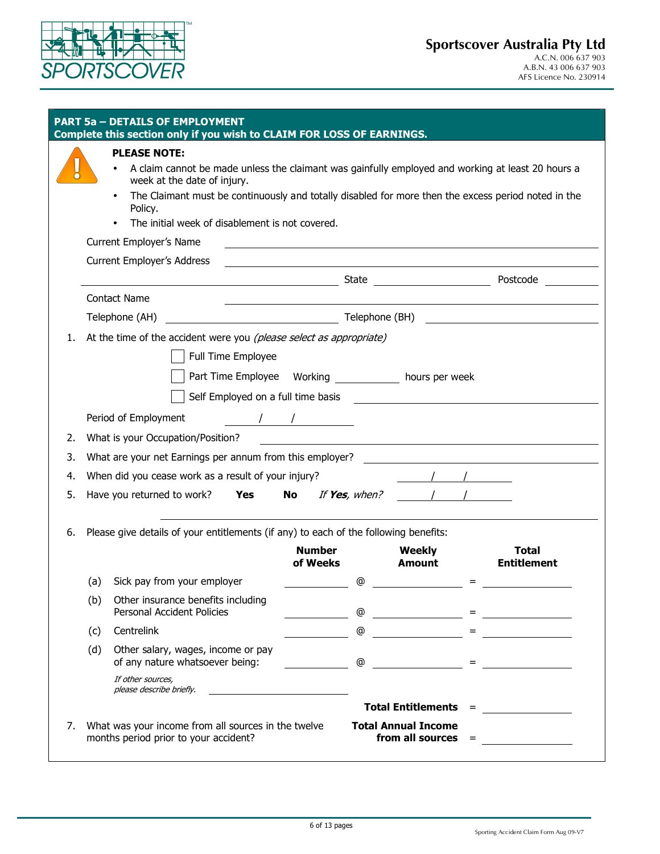

|    |     | <b>PART 5a - DETAILS OF EMPLOYMENT</b><br>Complete this section only if you wish to CLAIM FOR LOSS OF EARNINGS.                                                                                                                                                                                                                             |                           |                  |                                                                                                                      |     |                                                                                                                      |
|----|-----|---------------------------------------------------------------------------------------------------------------------------------------------------------------------------------------------------------------------------------------------------------------------------------------------------------------------------------------------|---------------------------|------------------|----------------------------------------------------------------------------------------------------------------------|-----|----------------------------------------------------------------------------------------------------------------------|
|    |     | <b>PLEASE NOTE:</b><br>A claim cannot be made unless the claimant was gainfully employed and working at least 20 hours a<br>week at the date of injury.<br>The Claimant must be continuously and totally disabled for more then the excess period noted in the<br>Policy.<br>The initial week of disablement is not covered.                |                           |                  |                                                                                                                      |     |                                                                                                                      |
|    |     | Current Employer's Name                                                                                                                                                                                                                                                                                                                     |                           |                  |                                                                                                                      |     | <u> 1989 - Johann Stoff, Amerikaansk politiker († 1908)</u>                                                          |
|    |     | <b>Current Employer's Address</b>                                                                                                                                                                                                                                                                                                           |                           |                  | <u> 1980 - Jan Samuel Barbara, martin da shekarar 1980 - An tsara tsara tsara tsara tsara tsara tsara tsara tsar</u> |     |                                                                                                                      |
|    |     | <b>Contact Name</b>                                                                                                                                                                                                                                                                                                                         |                           |                  |                                                                                                                      |     |                                                                                                                      |
|    |     | Telephone (AH)                                                                                                                                                                                                                                                                                                                              |                           |                  |                                                                                                                      |     | <u> 1989 - Johann Stoff, deutscher Stoffen und der Stoffen und der Stoffen und der Stoffen und der Stoffen und d</u> |
| 1. |     | At the time of the accident were you (please select as appropriate)                                                                                                                                                                                                                                                                         |                           |                  |                                                                                                                      |     |                                                                                                                      |
|    |     | Full Time Employee                                                                                                                                                                                                                                                                                                                          |                           |                  |                                                                                                                      |     |                                                                                                                      |
|    |     |                                                                                                                                                                                                                                                                                                                                             |                           |                  |                                                                                                                      |     |                                                                                                                      |
|    |     |                                                                                                                                                                                                                                                                                                                                             |                           |                  |                                                                                                                      |     |                                                                                                                      |
|    |     | Period of Employment<br>$\frac{1}{2}$ $\frac{1}{2}$ $\frac{1}{2}$ $\frac{1}{2}$ $\frac{1}{2}$ $\frac{1}{2}$ $\frac{1}{2}$ $\frac{1}{2}$ $\frac{1}{2}$ $\frac{1}{2}$ $\frac{1}{2}$ $\frac{1}{2}$ $\frac{1}{2}$ $\frac{1}{2}$ $\frac{1}{2}$ $\frac{1}{2}$ $\frac{1}{2}$ $\frac{1}{2}$ $\frac{1}{2}$ $\frac{1}{2}$ $\frac{1}{2}$ $\frac{1}{2}$ |                           |                  |                                                                                                                      |     |                                                                                                                      |
| 2. |     | What is your Occupation/Position?                                                                                                                                                                                                                                                                                                           |                           |                  |                                                                                                                      |     | <u> 1980 - Jan James James, fransk politik (d. 1980)</u>                                                             |
| 3. |     | What are your net Earnings per annum from this employer?                                                                                                                                                                                                                                                                                    |                           |                  |                                                                                                                      |     |                                                                                                                      |
| 4. |     | When did you cease work as a result of your injury?                                                                                                                                                                                                                                                                                         |                           |                  |                                                                                                                      |     |                                                                                                                      |
| 5. |     | Have you returned to work? <b>Yes</b>                                                                                                                                                                                                                                                                                                       |                           | No If Yes, when? |                                                                                                                      |     |                                                                                                                      |
| 6. |     | Please give details of your entitlements (if any) to each of the following benefits:                                                                                                                                                                                                                                                        |                           |                  |                                                                                                                      |     |                                                                                                                      |
|    |     |                                                                                                                                                                                                                                                                                                                                             | <b>Number</b><br>of Weeks |                  | <b>Weekly</b><br><b>Amount</b>                                                                                       |     | <b>Total</b><br><b>Entitlement</b>                                                                                   |
|    | (a) | Sick pay from your employer                                                                                                                                                                                                                                                                                                                 |                           | @                |                                                                                                                      |     |                                                                                                                      |
|    | (b) | Other insurance benefits including<br>Personal Accident Policies                                                                                                                                                                                                                                                                            |                           | @                |                                                                                                                      |     |                                                                                                                      |
|    | (c) | Centrelink                                                                                                                                                                                                                                                                                                                                  |                           | @                | $\frac{1}{\sqrt{1-\frac{1}{2}}\left(1-\frac{1}{2}\right)}$                                                           |     | $\equiv$ , and the set of $\frac{1}{2}$                                                                              |
|    | (d) | Other salary, wages, income or pay<br>of any nature whatsoever being:                                                                                                                                                                                                                                                                       |                           | $^\copyright$    |                                                                                                                      | $=$ |                                                                                                                      |
|    |     | If other sources,<br>please describe briefly.<br>the contract of the contract of the contract of the                                                                                                                                                                                                                                        |                           |                  |                                                                                                                      |     |                                                                                                                      |
|    |     |                                                                                                                                                                                                                                                                                                                                             |                           |                  | <b>Total Entitlements =</b>                                                                                          |     | <u> a shekara ta 1999 a shekara t</u>                                                                                |
|    |     | 7. What was your income from all sources in the twelve<br>months period prior to your accident?                                                                                                                                                                                                                                             |                           |                  | <b>Total Annual Income</b><br>from all sources $=$                                                                   |     |                                                                                                                      |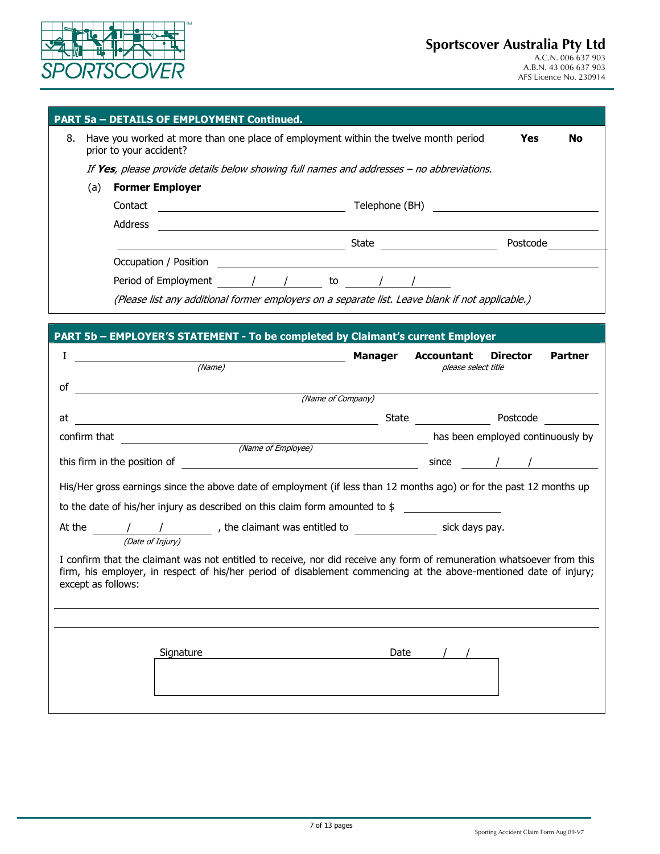

|                    | <b>PART 5a - DETAILS OF EMPLOYMENT Continued.</b>                                                                                                                                                                                                                                                                                                                                                                                                  |                |                                                                                                                                                                                                                                |                 |                |
|--------------------|----------------------------------------------------------------------------------------------------------------------------------------------------------------------------------------------------------------------------------------------------------------------------------------------------------------------------------------------------------------------------------------------------------------------------------------------------|----------------|--------------------------------------------------------------------------------------------------------------------------------------------------------------------------------------------------------------------------------|-----------------|----------------|
| 8.                 | Have you worked at more than one place of employment within the twelve month period<br>prior to your accident?                                                                                                                                                                                                                                                                                                                                     |                |                                                                                                                                                                                                                                | Yes             | <b>No</b>      |
|                    | If Yes, please provide details below showing full names and addresses - no abbreviations.                                                                                                                                                                                                                                                                                                                                                          |                |                                                                                                                                                                                                                                |                 |                |
| (a)                | <b>Former Employer</b>                                                                                                                                                                                                                                                                                                                                                                                                                             |                |                                                                                                                                                                                                                                |                 |                |
|                    | Contact<br><u> Alexandria (Carlo Carlo Carlo Carlo Carlo Carlo Carlo Carlo Carlo Carlo Carlo Carlo Carlo Carlo Carlo Carlo C</u>                                                                                                                                                                                                                                                                                                                   |                | Telephone (BH) and the state of the state of the state of the state of the state of the state of the state of the state of the state of the state of the state of the state of the state of the state of the state of the stat |                 |                |
|                    | Address<br><u> 1989 - John Stein, Amerikaansk politiker (</u> † 1920)                                                                                                                                                                                                                                                                                                                                                                              |                |                                                                                                                                                                                                                                |                 |                |
|                    |                                                                                                                                                                                                                                                                                                                                                                                                                                                    |                |                                                                                                                                                                                                                                |                 |                |
|                    | Occupation / Position<br><u> 1980 - Johann Stein, marwolaethau (b. 1980)</u>                                                                                                                                                                                                                                                                                                                                                                       |                |                                                                                                                                                                                                                                |                 |                |
|                    |                                                                                                                                                                                                                                                                                                                                                                                                                                                    |                |                                                                                                                                                                                                                                |                 |                |
|                    | (Please list any additional former employers on a separate list. Leave blank if not applicable.)                                                                                                                                                                                                                                                                                                                                                   |                |                                                                                                                                                                                                                                |                 |                |
|                    |                                                                                                                                                                                                                                                                                                                                                                                                                                                    |                |                                                                                                                                                                                                                                |                 |                |
|                    | PART 5b - EMPLOYER'S STATEMENT - To be completed by Claimant's current Employer                                                                                                                                                                                                                                                                                                                                                                    |                |                                                                                                                                                                                                                                |                 |                |
| I                  | (Name)                                                                                                                                                                                                                                                                                                                                                                                                                                             | <b>Manager</b> | <b>Accountant</b>                                                                                                                                                                                                              | <b>Director</b> | <b>Partner</b> |
|                    |                                                                                                                                                                                                                                                                                                                                                                                                                                                    |                | please select title                                                                                                                                                                                                            |                 |                |
| οf                 | <u> 1989 - Johann Harry Harry Harry Harry Harry Harry Harry Harry Harry Harry Harry Harry Harry Harry Harry Harry</u><br>(Name of Company)                                                                                                                                                                                                                                                                                                         |                |                                                                                                                                                                                                                                |                 |                |
| at                 |                                                                                                                                                                                                                                                                                                                                                                                                                                                    |                |                                                                                                                                                                                                                                |                 |                |
|                    | confirm that in the confirm that                                                                                                                                                                                                                                                                                                                                                                                                                   |                | and the been employed continuously by                                                                                                                                                                                          |                 |                |
|                    | (Name of Employee)<br>this firm in the position of                                                                                                                                                                                                                                                                                                                                                                                                 |                |                                                                                                                                                                                                                                |                 |                |
|                    | $\frac{1}{2}$ since $\frac{1}{2}$ /                                                                                                                                                                                                                                                                                                                                                                                                                |                |                                                                                                                                                                                                                                |                 |                |
|                    | His/Her gross earnings since the above date of employment (if less than 12 months ago) or for the past 12 months up                                                                                                                                                                                                                                                                                                                                |                |                                                                                                                                                                                                                                |                 |                |
|                    | to the date of his/her injury as described on this claim form amounted to $$$                                                                                                                                                                                                                                                                                                                                                                      |                |                                                                                                                                                                                                                                |                 |                |
|                    | At the $\frac{1}{\sqrt{2at} \cdot \frac{1}{\sqrt{2at} \cdot \frac{1}{\sqrt{2at} \cdot \frac{1}{\sqrt{2at} \cdot \frac{1}{\sqrt{2at} \cdot \frac{1}{\sqrt{2at} \cdot \frac{1}{\sqrt{2at} \cdot \frac{1}{\sqrt{2at} \cdot \frac{1}{\sqrt{2at} \cdot \frac{1}{\sqrt{2at} \cdot \frac{1}{\sqrt{2at} \cdot \frac{1}{\sqrt{2at} \cdot \frac{1}{\sqrt{2at} \cdot \frac{1}{\sqrt{2at} \cdot \frac{1}{\sqrt{2at} \cdot \frac{1}{\sqrt{2at} \cdot \frac{1}{$ |                |                                                                                                                                                                                                                                |                 |                |
| except as follows: | I confirm that the claimant was not entitled to receive, nor did receive any form of remuneration whatsoever from this<br>firm, his employer, in respect of his/her period of disablement commencing at the above-mentioned date of injury;                                                                                                                                                                                                        |                |                                                                                                                                                                                                                                |                 |                |
|                    |                                                                                                                                                                                                                                                                                                                                                                                                                                                    |                |                                                                                                                                                                                                                                |                 |                |
|                    |                                                                                                                                                                                                                                                                                                                                                                                                                                                    |                |                                                                                                                                                                                                                                |                 |                |
|                    | Signature                                                                                                                                                                                                                                                                                                                                                                                                                                          | Date           |                                                                                                                                                                                                                                |                 |                |
|                    |                                                                                                                                                                                                                                                                                                                                                                                                                                                    |                |                                                                                                                                                                                                                                |                 |                |
|                    |                                                                                                                                                                                                                                                                                                                                                                                                                                                    |                |                                                                                                                                                                                                                                |                 |                |
|                    |                                                                                                                                                                                                                                                                                                                                                                                                                                                    |                |                                                                                                                                                                                                                                |                 |                |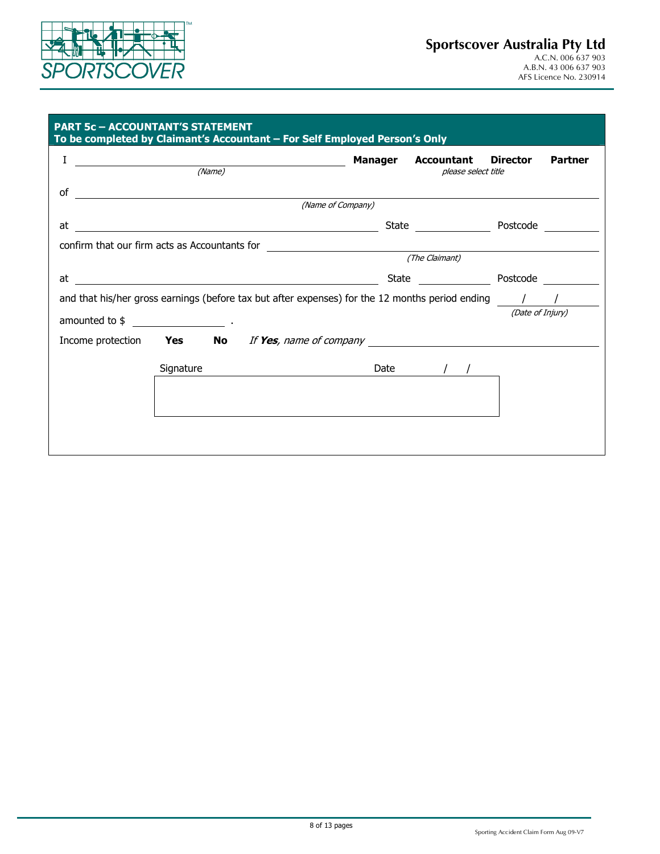

### **Sportscover Australia Pty Ltd** A.C.N. 006 637 903 A.B.N. 43 006 637 903

AFS Licence No. 230914

| <b>PART 5c - ACCOUNTANT'S STATEMENT</b>       |           | To be completed by Claimant's Accountant - For Self Employed Person's Only                                     |                                           |                  |                |
|-----------------------------------------------|-----------|----------------------------------------------------------------------------------------------------------------|-------------------------------------------|------------------|----------------|
|                                               |           | (Name)                                                                                                         | Manager Accountant<br>please select title | <b>Director</b>  | <b>Partner</b> |
| of                                            |           | (Name of Company)                                                                                              |                                           |                  |                |
| at                                            |           | <u> 1980 - Johann Barbara, martxa amerikan bashkar (</u>                                                       | State Postcode                            |                  |                |
| confirm that our firm acts as Accountants for |           | <u> 1980 - Andrea Andrew Maria (h. 1980).</u>                                                                  | (The Claimant)                            |                  |                |
| at                                            |           | <u> 1989 - Johann John Stein, marking and de families and de families and de families and descriptions</u>     |                                           |                  |                |
|                                               |           | and that his/her gross earnings (before tax but after expenses) for the 12 months period ending $\overline{1}$ |                                           | (Date of Injury) |                |
|                                               |           | Income protection <b>Yes</b> No If Yes, name of company                                                        |                                           |                  |                |
|                                               | Signature |                                                                                                                | Date / /                                  |                  |                |
|                                               |           |                                                                                                                |                                           |                  |                |
|                                               |           |                                                                                                                |                                           |                  |                |
|                                               |           |                                                                                                                |                                           |                  |                |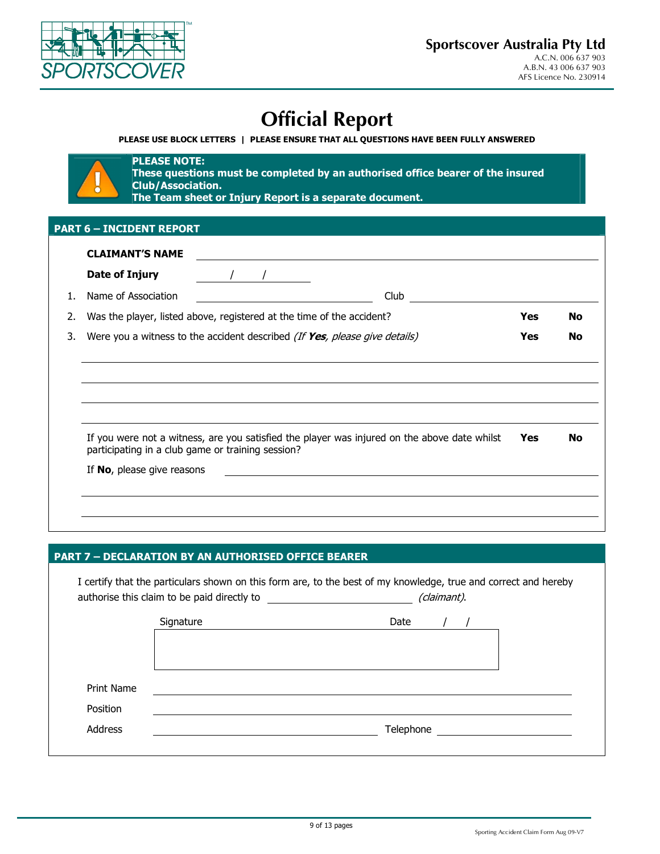

# **Official Report**

**PLEASE USE BLOCK LETTERS | PLEASE ENSURE THAT ALL QUESTIONS HAVE BEEN FULLY ANSWERED** 



**PLEASE NOTE: These questions must be completed by an authorised office bearer of the insured Club/Association. The Team sheet or Injury Report is a separate document.**

### **PART 6 – INCIDENT REPORT**

|    | Date of Injury                                    |                                                                                              |            |           |
|----|---------------------------------------------------|----------------------------------------------------------------------------------------------|------------|-----------|
| 1. | Name of Association                               | Club                                                                                         |            |           |
| 2. |                                                   | Was the player, listed above, registered at the time of the accident?                        | <b>Yes</b> | <b>No</b> |
| 3. |                                                   | Were you a witness to the accident described (If Yes, please give details)                   | <b>Yes</b> | <b>No</b> |
|    |                                                   |                                                                                              |            |           |
|    |                                                   |                                                                                              |            |           |
|    |                                                   |                                                                                              |            |           |
|    |                                                   |                                                                                              |            |           |
|    | participating in a club game or training session? | If you were not a witness, are you satisfied the player was injured on the above date whilst | Yes        | No        |
|    | If No, please give reasons                        |                                                                                              |            |           |
|    |                                                   |                                                                                              |            |           |

### **PART 7 – DECLARATION BY AN AUTHORISED OFFICE BEARER**

|                 | Signature | Date      |  |
|-----------------|-----------|-----------|--|
|                 |           |           |  |
|                 |           |           |  |
|                 |           |           |  |
| Print Name      |           |           |  |
| <b>Position</b> |           |           |  |
|                 |           | Telephone |  |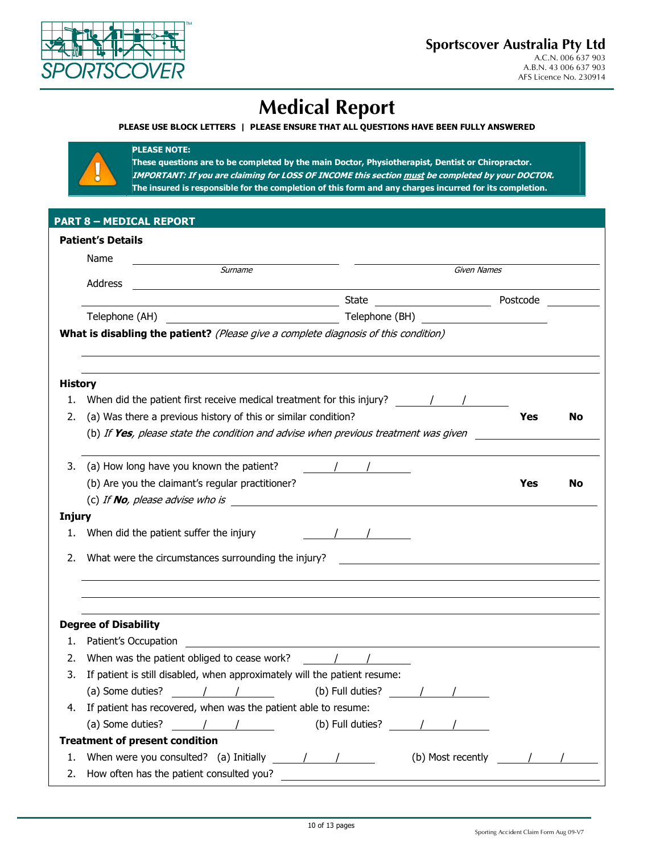

# **Medical Report**

## **PLEASE USE BLOCK LETTERS | PLEASE ENSURE THAT ALL QUESTIONS HAVE BEEN FULLY ANSWERED**



**These questions are to be completed by the main Doctor, Physiotherapist, Dentist or Chiropractor. IMPORTANT: If you are claiming for LOSS OF INCOME this section must be completed by your DOCTOR. The insured is responsible for the completion of this form and any charges incurred for its completion.** 

|  | PART 8 - MEDICAL REPORT' |  |
|--|--------------------------|--|
|  |                          |  |

**PLEASE NOTE:** 

|                     | Name                                                                                |                  |                   |            |    |
|---------------------|-------------------------------------------------------------------------------------|------------------|-------------------|------------|----|
|                     | Surname<br>Address                                                                  |                  | Given Names       |            |    |
|                     |                                                                                     | State            |                   | Postcode   |    |
|                     | Telephone (AH)<br><u> 1980 - Johann Barbara, martin di</u>                          | Telephone (BH)   |                   |            |    |
|                     | What is disabling the patient? (Please give a complete diagnosis of this condition) |                  |                   |            |    |
|                     |                                                                                     |                  |                   |            |    |
| <b>History</b>      |                                                                                     |                  |                   |            |    |
| 1.                  | When did the patient first receive medical treatment for this injury? $\frac{1}{2}$ |                  |                   |            |    |
| 2.                  | (a) Was there a previous history of this or similar condition?                      |                  |                   | Yes        | No |
|                     | (b) If Yes, please state the condition and advise when previous treatment was given |                  |                   |            |    |
|                     |                                                                                     |                  |                   |            |    |
| 3.                  | (a) How long have you known the patient?                                            |                  |                   |            |    |
|                     | (b) Are you the claimant's regular practitioner?                                    |                  |                   | <b>Yes</b> | No |
|                     | (c) If <b>No</b> , please advise who is                                             |                  |                   |            |    |
|                     |                                                                                     |                  |                   |            |    |
|                     |                                                                                     |                  |                   |            |    |
| <b>Injury</b><br>1. | When did the patient suffer the injury                                              |                  |                   |            |    |
| 2.                  |                                                                                     |                  |                   |            |    |
|                     | What were the circumstances surrounding the injury?                                 |                  |                   |            |    |
|                     |                                                                                     |                  |                   |            |    |
|                     |                                                                                     |                  |                   |            |    |
|                     | <b>Degree of Disability</b>                                                         |                  |                   |            |    |
| 1.                  | Patient's Occupation                                                                |                  |                   |            |    |
| 2.                  | When was the patient obliged to cease work?                                         | $\sqrt{2}$       |                   |            |    |
| 3.                  | If patient is still disabled, when approximately will the patient resume:           |                  |                   |            |    |
|                     | (a) Some duties?<br>$\sqrt{1}$                                                      | (b) Full duties? |                   |            |    |
| 4.                  | If patient has recovered, when was the patient able to resume:                      |                  |                   |            |    |
|                     | $\frac{1}{2}$<br>(a) Some duties?                                                   | (b) Full duties? |                   |            |    |
|                     | <b>Treatment of present condition</b>                                               |                  |                   |            |    |
| 1.                  | When were you consulted? (a) Initially<br>$\sqrt{2}$                                |                  | (b) Most recently |            |    |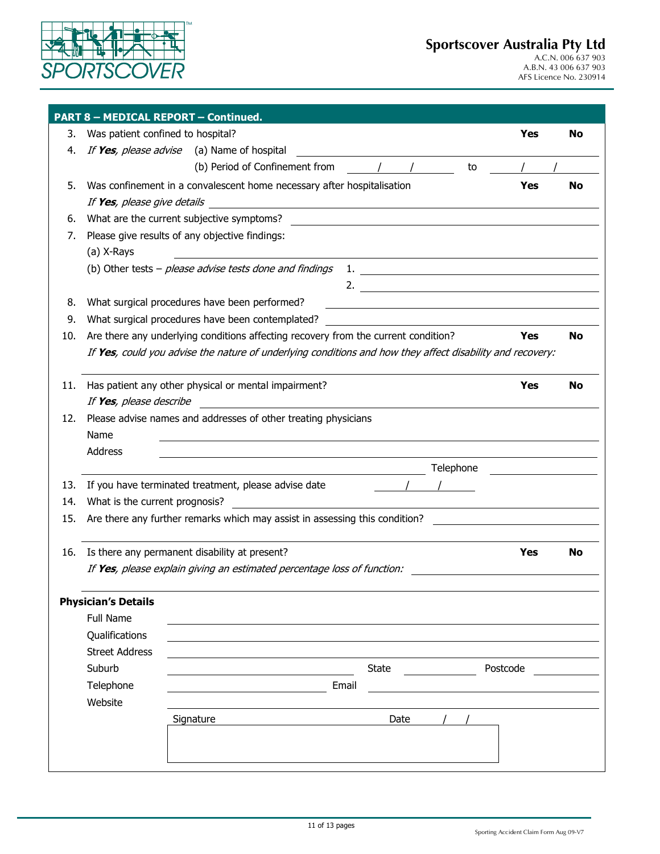

|     | <b>PART 8 - MEDICAL REPORT - Continued.</b> |                                                                                                                                                                    |            |     |
|-----|---------------------------------------------|--------------------------------------------------------------------------------------------------------------------------------------------------------------------|------------|-----|
| 3.  | Was patient confined to hospital?           |                                                                                                                                                                    | <b>Yes</b> | No  |
| 4.  |                                             | If Yes, please advise (a) Name of hospital                                                                                                                         |            |     |
|     |                                             | (b) Period of Confinement from<br>to                                                                                                                               |            |     |
| 5.  |                                             | Was confinement in a convalescent home necessary after hospitalisation                                                                                             | <b>Yes</b> | No. |
|     | If <b>Yes</b> , please give details         | <u> 1989 - Jan Samuel Barbara, margaret e populari e populari e populari e populari e populari e populari e popu</u>                                               |            |     |
| 6.  |                                             | What are the current subjective symptoms?<br><u> 1980 - Johann Stone, mars and de film and de film and de film and de film and de film and de film and de film</u> |            |     |
| 7.  |                                             | Please give results of any objective findings:                                                                                                                     |            |     |
|     | (a) X-Rays                                  |                                                                                                                                                                    |            |     |
|     |                                             | (b) Other tests - please advise tests done and findings                                                                                                            |            |     |
|     |                                             |                                                                                                                                                                    |            |     |
| 8.  |                                             | What surgical procedures have been performed?                                                                                                                      |            |     |
| 9.  |                                             | What surgical procedures have been contemplated?                                                                                                                   |            |     |
| 10. |                                             | Are there any underlying conditions affecting recovery from the current condition?                                                                                 | Yes        | No  |
|     |                                             | If Yes, could you advise the nature of underlying conditions and how they affect disability and recovery:                                                          |            |     |
|     |                                             |                                                                                                                                                                    |            |     |
| 11. |                                             | Has patient any other physical or mental impairment?                                                                                                               | Yes        | No  |
|     | If Yes, please describe                     |                                                                                                                                                                    |            |     |
| 12. |                                             | Please advise names and addresses of other treating physicians                                                                                                     |            |     |
|     | Name                                        |                                                                                                                                                                    |            |     |
|     | Address                                     |                                                                                                                                                                    |            |     |
|     |                                             | Telephone                                                                                                                                                          |            |     |
| 13. |                                             | If you have terminated treatment, please advise date                                                                                                               |            |     |
| 14. | What is the current prognosis?              |                                                                                                                                                                    |            |     |
| 15. |                                             | Are there any further remarks which may assist in assessing this condition?                                                                                        |            |     |
|     |                                             |                                                                                                                                                                    |            |     |
| 16. |                                             | Is there any permanent disability at present?                                                                                                                      | Yes        | No  |
|     |                                             | If Yes, please explain giving an estimated percentage loss of function:                                                                                            |            |     |
|     |                                             |                                                                                                                                                                    |            |     |
|     | <b>Physician's Details</b>                  |                                                                                                                                                                    |            |     |
|     | <b>Full Name</b>                            |                                                                                                                                                                    |            |     |
|     | Qualifications                              |                                                                                                                                                                    |            |     |
|     | <b>Street Address</b>                       |                                                                                                                                                                    |            |     |
|     | Suburb                                      | State                                                                                                                                                              | Postcode   |     |
|     | Telephone                                   | Email                                                                                                                                                              |            |     |
|     | Website                                     |                                                                                                                                                                    |            |     |
|     |                                             | Signature<br>Date                                                                                                                                                  |            |     |
|     |                                             |                                                                                                                                                                    |            |     |
|     |                                             |                                                                                                                                                                    |            |     |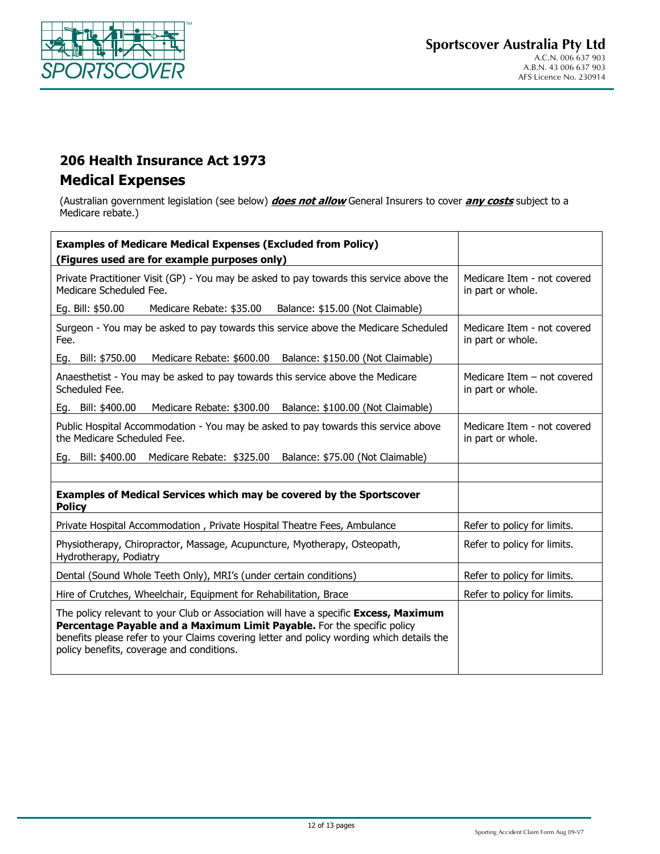

## **206 Health Insurance Act 1973 Medical Expenses**

(Australian government legislation (see below) **does not allow** General Insurers to cover **any costs** subject to a Medicare rebate.)

| <b>Examples of Medicare Medical Expenses (Excluded from Policy)</b>                                                                                                                                                                                                                                       |                                                  |
|-----------------------------------------------------------------------------------------------------------------------------------------------------------------------------------------------------------------------------------------------------------------------------------------------------------|--------------------------------------------------|
| (Figures used are for example purposes only)                                                                                                                                                                                                                                                              |                                                  |
| Private Practitioner Visit (GP) - You may be asked to pay towards this service above the<br>Medicare Scheduled Fee.                                                                                                                                                                                       | Medicare Item - not covered<br>in part or whole. |
| Eg. Bill: \$50.00<br>Medicare Rebate: \$35.00 Balance: \$15.00 (Not Claimable)                                                                                                                                                                                                                            |                                                  |
| Surgeon - You may be asked to pay towards this service above the Medicare Scheduled<br>Fee.                                                                                                                                                                                                               | Medicare Item - not covered<br>in part or whole. |
| Eg. Bill: \$750.00<br>Medicare Rebate: \$600.00 Balance: \$150.00 (Not Claimable)                                                                                                                                                                                                                         |                                                  |
| Anaesthetist - You may be asked to pay towards this service above the Medicare<br>Scheduled Fee.                                                                                                                                                                                                          | Medicare Item - not covered<br>in part or whole. |
| Medicare Rebate: \$300.00 Balance: \$100.00 (Not Claimable)<br>Eg. Bill: \$400.00                                                                                                                                                                                                                         |                                                  |
| Public Hospital Accommodation - You may be asked to pay towards this service above<br>the Medicare Scheduled Fee.                                                                                                                                                                                         | Medicare Item - not covered<br>in part or whole. |
| Eg. Bill: \$400.00<br>Medicare Rebate: \$325.00 Balance: \$75.00 (Not Claimable)                                                                                                                                                                                                                          |                                                  |
|                                                                                                                                                                                                                                                                                                           |                                                  |
| Examples of Medical Services which may be covered by the Sportscover<br><b>Policy</b>                                                                                                                                                                                                                     |                                                  |
| Private Hospital Accommodation, Private Hospital Theatre Fees, Ambulance                                                                                                                                                                                                                                  | Refer to policy for limits.                      |
| Physiotherapy, Chiropractor, Massage, Acupuncture, Myotherapy, Osteopath,<br>Hydrotherapy, Podiatry                                                                                                                                                                                                       | Refer to policy for limits.                      |
| Dental (Sound Whole Teeth Only), MRI's (under certain conditions)                                                                                                                                                                                                                                         | Refer to policy for limits.                      |
| Hire of Crutches, Wheelchair, Equipment for Rehabilitation, Brace                                                                                                                                                                                                                                         | Refer to policy for limits.                      |
| The policy relevant to your Club or Association will have a specific Excess, Maximum<br>Percentage Payable and a Maximum Limit Payable. For the specific policy<br>benefits please refer to your Claims covering letter and policy wording which details the<br>policy benefits, coverage and conditions. |                                                  |